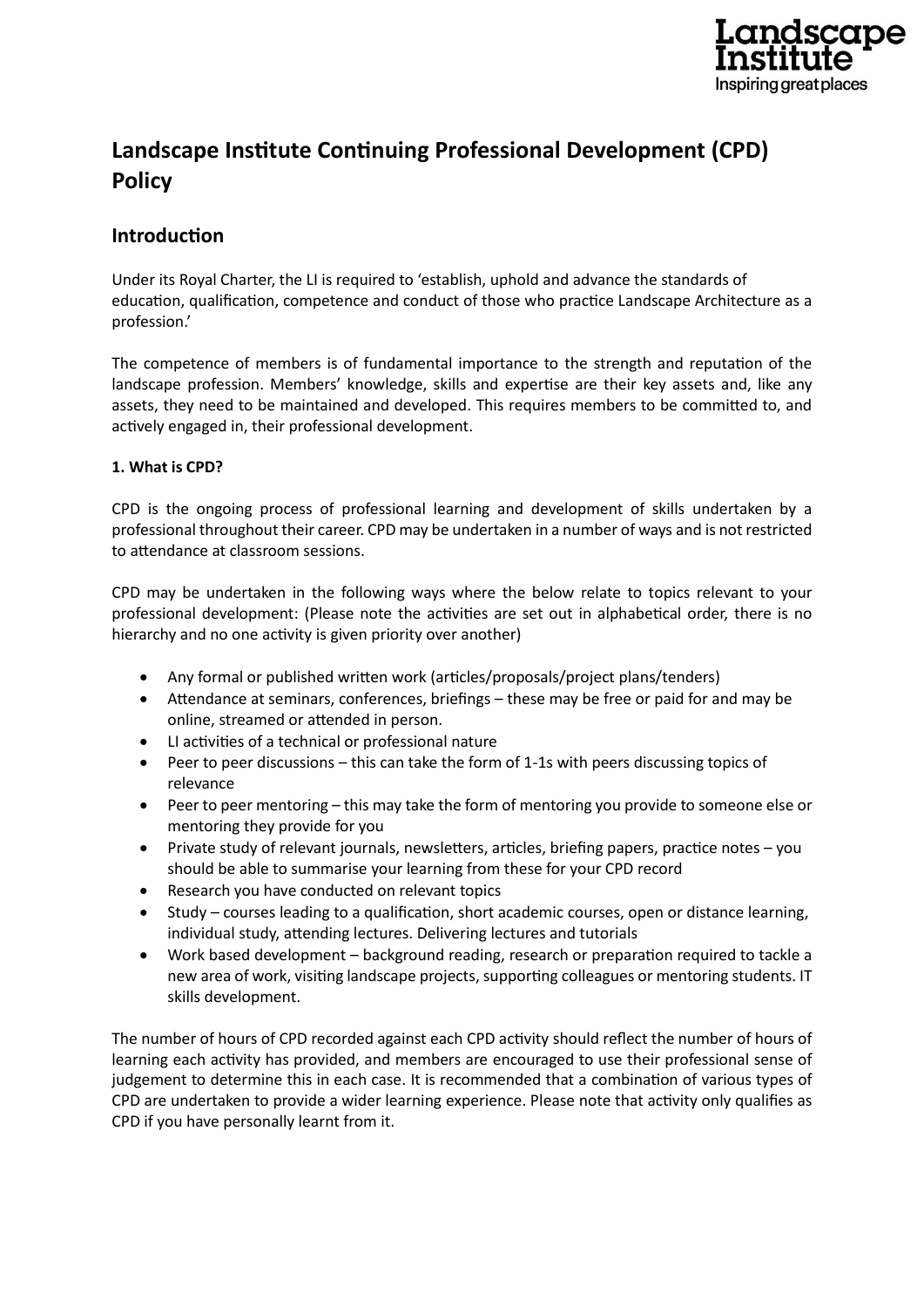

# **Landscape Institute Continuing Professional Development (CPD) Policy**

# **Introduction**

Under its Royal Charter, the LI is required to 'establish, uphold and advance the standards of education, qualification, competence and conduct of those who practice Landscape Architecture as a profession.'

The competence of members is of fundamental importance to the strength and reputation of the landscape profession. Members' knowledge, skills and expertise are their key assets and, like any assets, they need to be maintained and developed. This requires members to be committed to, and actively engaged in, their professional development.

# **1. What is CPD?**

CPD is the ongoing process of professional learning and development of skills undertaken by a professional throughout their career. CPD may be undertaken in a number of ways and is not restricted to attendance at classroom sessions.

CPD may be undertaken in the following ways where the below relate to topics relevant to your professional development: (Please note the activities are set out in alphabetical order, there is no hierarchy and no one activity is given priority over another)

- Any formal or published written work (articles/proposals/project plans/tenders)
- Attendance at seminars, conferences, briefings these may be free or paid for and may be online, streamed or attended in person.
- LI activities of a technical or professional nature
- Peer to peer discussions this can take the form of 1-1s with peers discussing topics of relevance
- Peer to peer mentoring this may take the form of mentoring you provide to someone else or mentoring they provide for you
- Private study of relevant journals, newsletters, articles, briefing papers, practice notes you should be able to summarise your learning from these for your CPD record
- Research you have conducted on relevant topics
- Study courses leading to a qualification, short academic courses, open or distance learning, individual study, attending lectures. Delivering lectures and tutorials
- Work based development background reading, research or preparation required to tackle a new area of work, visiting landscape projects, supporting colleagues or mentoring students. IT skills development.

The number of hours of CPD recorded against each CPD activity should reflect the number of hours of learning each activity has provided, and members are encouraged to use their professional sense of judgement to determine this in each case. It is recommended that a combination of various types of CPD are undertaken to provide a wider learning experience. Please note that activity only qualifies as CPD if you have personally learnt from it.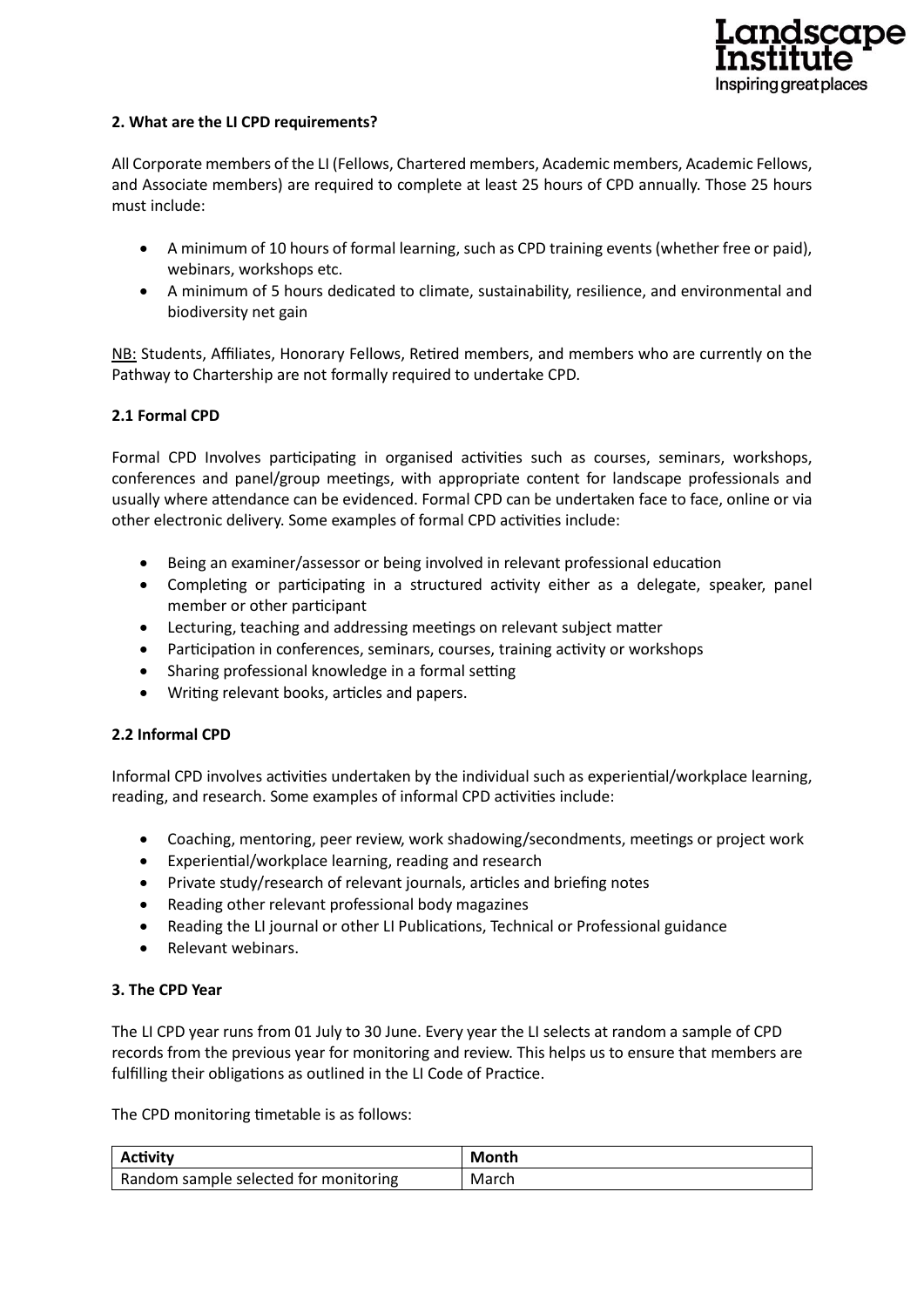

#### **2. What are the LI CPD requirements?**

All Corporate members of the LI (Fellows, Chartered members, Academic members, Academic Fellows, and Associate members) are required to complete at least 25 hours of CPD annually. Those 25 hours must include:

- A minimum of 10 hours of formal learning, such as CPD training events (whether free or paid), webinars, workshops etc.
- A minimum of 5 hours dedicated to climate, sustainability, resilience, and environmental and biodiversity net gain

NB: Students, Affiliates, Honorary Fellows, Retired members, and members who are currently on the Pathway to Chartership are not formally required to undertake CPD.

#### **2.1 Formal CPD**

Formal CPD Involves participating in organised activities such as courses, seminars, workshops, conferences and panel/group meetings, with appropriate content for landscape professionals and usually where attendance can be evidenced. Formal CPD can be undertaken face to face, online or via other electronic delivery. Some examples of formal CPD activities include:

- Being an examiner/assessor or being involved in relevant professional education
- Completing or participating in a structured activity either as a delegate, speaker, panel member or other participant
- Lecturing, teaching and addressing meetings on relevant subject matter
- Participation in conferences, seminars, courses, training activity or workshops
- Sharing professional knowledge in a formal setting
- Writing relevant books, articles and papers.

#### **2.2 Informal CPD**

Informal CPD involves activities undertaken by the individual such as experiential/workplace learning, reading, and research. Some examples of informal CPD activities include:

- Coaching, mentoring, peer review, work shadowing/secondments, meetings or project work
- Experiential/workplace learning, reading and research
- Private study/research of relevant journals, articles and briefing notes
- Reading other relevant professional body magazines
- Reading the LI journal or other LI Publications, Technical or Professional guidance
- Relevant webinars.

#### **3. The CPD Year**

The LI CPD year runs from 01 July to 30 June. Every year the LI selects at random a sample of CPD records from the previous year for monitoring and review. This helps us to ensure that members are fulfilling their obligations as outlined in the LI Code of Practice.

The CPD monitoring timetable is as follows:

| Activity                              | Month |
|---------------------------------------|-------|
| Random sample selected for monitoring | March |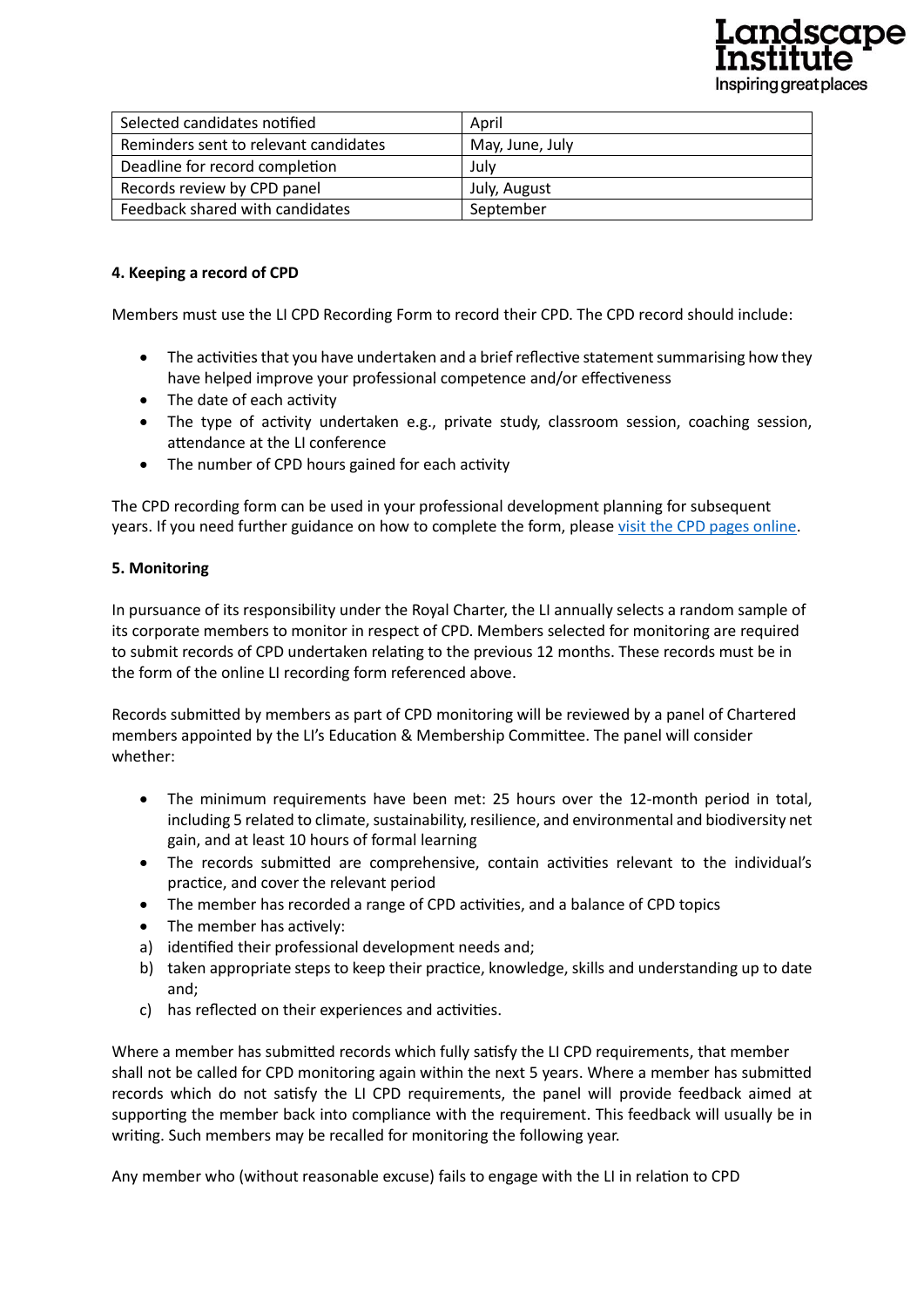

| Selected candidates notified          | April           |
|---------------------------------------|-----------------|
| Reminders sent to relevant candidates | May, June, July |
| Deadline for record completion        | Julv            |
| Records review by CPD panel           | July, August    |
| Feedback shared with candidates       | September       |

# **4. Keeping a record of CPD**

Members must use the LI CPD Recording Form to record their CPD. The CPD record should include:

- The activities that you have undertaken and a brief reflective statement summarising how they have helped improve your professional competence and/or effectiveness
- The date of each activity
- The type of activity undertaken e.g., private study, classroom session, coaching session, attendance at the LI conference
- The number of CPD hours gained for each activity

The CPD recording form can be used in your professional development planning for subsequent years. If you need further guidance on how to complete the form, please [visit the CPD pages online.](https://www.landscapeinstitute.org/member-content/cpd/)

#### **5. Monitoring**

In pursuance of its responsibility under the Royal Charter, the LI annually selects a random sample of its corporate members to monitor in respect of CPD. Members selected for monitoring are required to submit records of CPD undertaken relating to the previous 12 months. These records must be in the form of the online LI recording form referenced above.

Records submitted by members as part of CPD monitoring will be reviewed by a panel of Chartered members appointed by the LI's Education & Membership Committee. The panel will consider whether:

- The minimum requirements have been met: 25 hours over the 12-month period in total, including 5 related to climate, sustainability, resilience, and environmental and biodiversity net gain, and at least 10 hours of formal learning
- The records submitted are comprehensive, contain activities relevant to the individual's practice, and cover the relevant period
- The member has recorded a range of CPD activities, and a balance of CPD topics
- The member has actively:
- a) identified their professional development needs and;
- b) taken appropriate steps to keep their practice, knowledge, skills and understanding up to date and;
- c) has reflected on their experiences and activities.

Where a member has submitted records which fully satisfy the LI CPD requirements, that member shall not be called for CPD monitoring again within the next 5 years. Where a member has submitted records which do not satisfy the LI CPD requirements, the panel will provide feedback aimed at supporting the member back into compliance with the requirement. This feedback will usually be in writing. Such members may be recalled for monitoring the following year.

Any member who (without reasonable excuse) fails to engage with the LI in relation to CPD